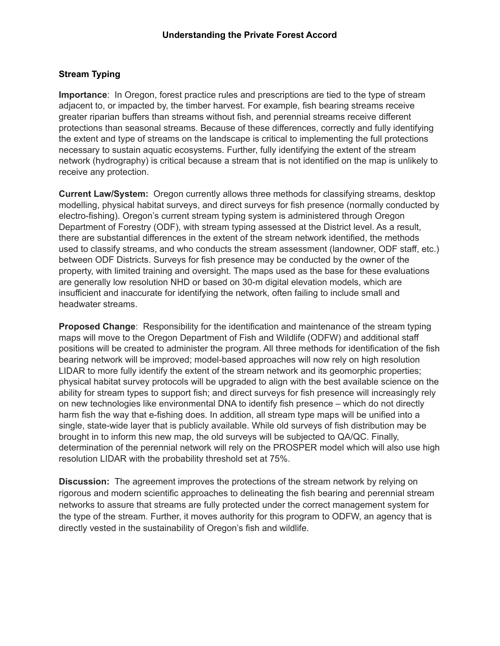# **Stream Typing**

**Importance**: In Oregon, forest practice rules and prescriptions are tied to the type of stream adjacent to, or impacted by, the timber harvest. For example, fish bearing streams receive greater riparian buffers than streams without fish, and perennial streams receive different protections than seasonal streams. Because of these differences, correctly and fully identifying the extent and type of streams on the landscape is critical to implementing the full protections necessary to sustain aquatic ecosystems. Further, fully identifying the extent of the stream network (hydrography) is critical because a stream that is not identified on the map is unlikely to receive any protection.

**Current Law/System:** Oregon currently allows three methods for classifying streams, desktop modelling, physical habitat surveys, and direct surveys for fish presence (normally conducted by electro-fishing). Oregon's current stream typing system is administered through Oregon Department of Forestry (ODF), with stream typing assessed at the District level. As a result, there are substantial differences in the extent of the stream network identified, the methods used to classify streams, and who conducts the stream assessment (landowner, ODF staff, etc.) between ODF Districts. Surveys for fish presence may be conducted by the owner of the property, with limited training and oversight. The maps used as the base for these evaluations are generally low resolution NHD or based on 30-m digital elevation models, which are insufficient and inaccurate for identifying the network, often failing to include small and headwater streams.

**Proposed Change**: Responsibility for the identification and maintenance of the stream typing maps will move to the Oregon Department of Fish and Wildlife (ODFW) and additional staff positions will be created to administer the program. All three methods for identification of the fish bearing network will be improved; model-based approaches will now rely on high resolution LIDAR to more fully identify the extent of the stream network and its geomorphic properties; physical habitat survey protocols will be upgraded to align with the best available science on the ability for stream types to support fish; and direct surveys for fish presence will increasingly rely on new technologies like environmental DNA to identify fish presence – which do not directly harm fish the way that e-fishing does. In addition, all stream type maps will be unified into a single, state-wide layer that is publicly available. While old surveys of fish distribution may be brought in to inform this new map, the old surveys will be subjected to QA/QC. Finally, determination of the perennial network will rely on the PROSPER model which will also use high resolution LIDAR with the probability threshold set at 75%.

**Discussion:** The agreement improves the protections of the stream network by relying on rigorous and modern scientific approaches to delineating the fish bearing and perennial stream networks to assure that streams are fully protected under the correct management system for the type of the stream. Further, it moves authority for this program to ODFW, an agency that is directly vested in the sustainability of Oregon's fish and wildlife.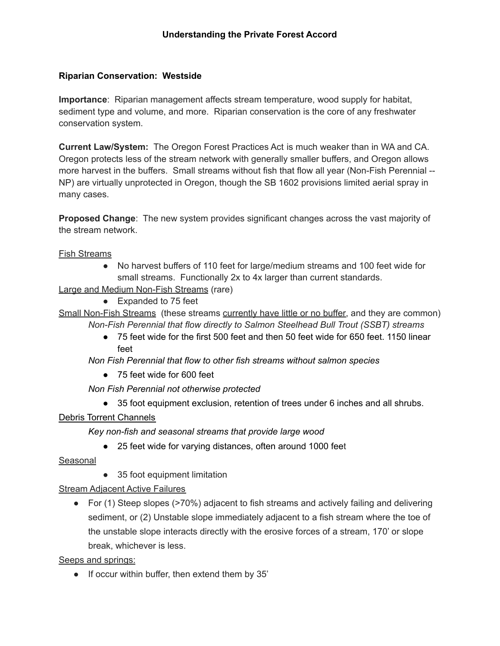## **Riparian Conservation: Westside**

**Importance**: Riparian management affects stream temperature, wood supply for habitat, sediment type and volume, and more. Riparian conservation is the core of any freshwater conservation system.

**Current Law/System:** The Oregon Forest Practices Act is much weaker than in WA and CA. Oregon protects less of the stream network with generally smaller buffers, and Oregon allows more harvest in the buffers. Small streams without fish that flow all year (Non-Fish Perennial -- NP) are virtually unprotected in Oregon, though the SB 1602 provisions limited aerial spray in many cases.

**Proposed Change**: The new system provides significant changes across the vast majority of the stream network.

Fish Streams

● No harvest buffers of 110 feet for large/medium streams and 100 feet wide for small streams. Functionally 2x to 4x larger than current standards.

Large and Medium Non-Fish Streams (rare)

- Expanded to 75 feet
- Small Non-Fish Streams (these streams currently have little or no buffer, and they are common) *Non-Fish Perennial that flow directly to Salmon Steelhead Bull Trout (SSBT) streams*
	- 75 feet wide for the first 500 feet and then 50 feet wide for 650 feet. 1150 linear feet

*Non Fish Perennial that flow to other fish streams without salmon species*

● 75 feet wide for 600 feet

*Non Fish Perennial not otherwise protected*

● 35 foot equipment exclusion, retention of trees under 6 inches and all shrubs.

#### Debris Torrent Channels

*Key non-fish and seasonal streams that provide large wood*

● 25 feet wide for varying distances, often around 1000 feet

#### Seasonal

● 35 foot equipment limitation

Stream Adjacent Active Failures

● For (1) Steep slopes (>70%) adjacent to fish streams and actively failing and delivering sediment, or (2) Unstable slope immediately adjacent to a fish stream where the toe of the unstable slope interacts directly with the erosive forces of a stream, 170' or slope break, whichever is less.

Seeps and springs:

● If occur within buffer, then extend them by 35'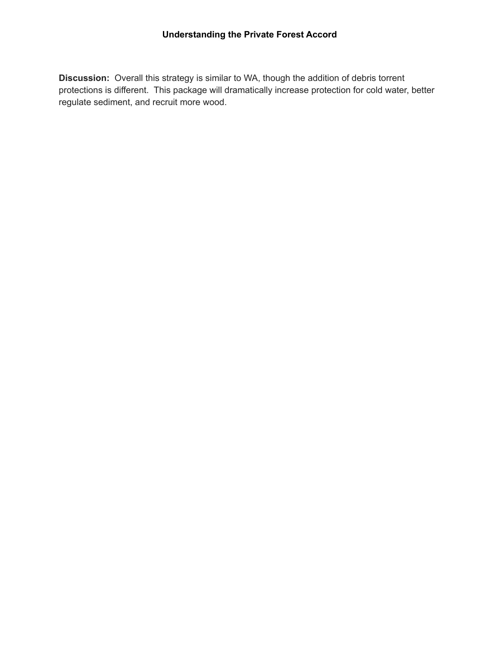**Discussion:** Overall this strategy is similar to WA, though the addition of debris torrent protections is different. This package will dramatically increase protection for cold water, better regulate sediment, and recruit more wood.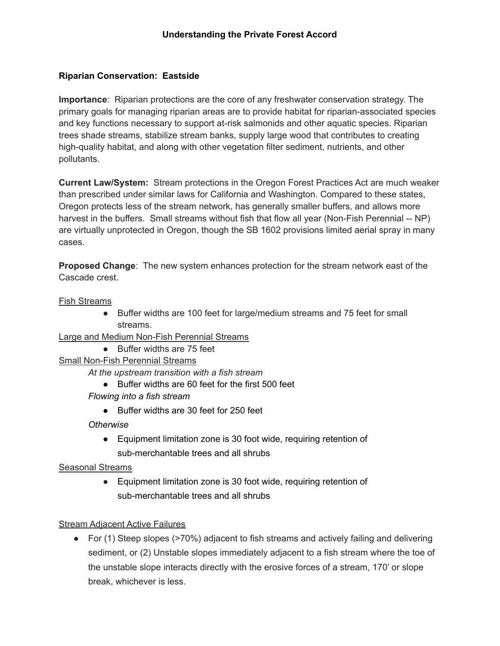## **Riparian Conservation: Eastside**

**Importance**: Riparian protections are the core of any freshwater conservation strategy. The primary goals for managing riparian areas are to provide habitat for riparian-associated species and key functions necessary to support at-risk salmonids and other aquatic species. Riparian trees shade streams, stabilize stream banks, supply large wood that contributes to creating high-quality habitat, and along with other vegetation filter sediment, nutrients, and other pollutants.

**Current Law/System:** Stream protections in the Oregon Forest Practices Act are much weaker than prescribed under similar laws for California and Washington. Compared to these states, Oregon protects less of the stream network, has generally smaller buffers, and allows more harvest in the buffers. Small streams without fish that flow all year (Non-Fish Perennial -- NP) are virtually unprotected in Oregon, though the SB 1602 provisions limited aerial spray in many cases.

**Proposed Change**: The new system enhances protection for the stream network east of the Cascade crest.

#### Fish Streams

● Buffer widths are 100 feet for large/medium streams and 75 feet for small streams.

Large and Medium Non-Fish Perennial Streams

● Buffer widths are 75 feet

## Small Non-Fish Perennial Streams

*At the upstream transition with a fish stream*

- Buffer widths are 60 feet for the first 500 feet
- *Flowing into a fish stream*
	- Buffer widths are 30 feet for 250 feet

*Otherwise*

● Equipment limitation zone is 30 foot wide, requiring retention of sub-merchantable trees and all shrubs

#### Seasonal Streams

● Equipment limitation zone is 30 foot wide, requiring retention of sub-merchantable trees and all shrubs

#### Stream Adjacent Active Failures

● For (1) Steep slopes (>70%) adjacent to fish streams and actively failing and delivering sediment, or (2) Unstable slopes immediately adjacent to a fish stream where the toe of the unstable slope interacts directly with the erosive forces of a stream, 170' or slope break, whichever is less.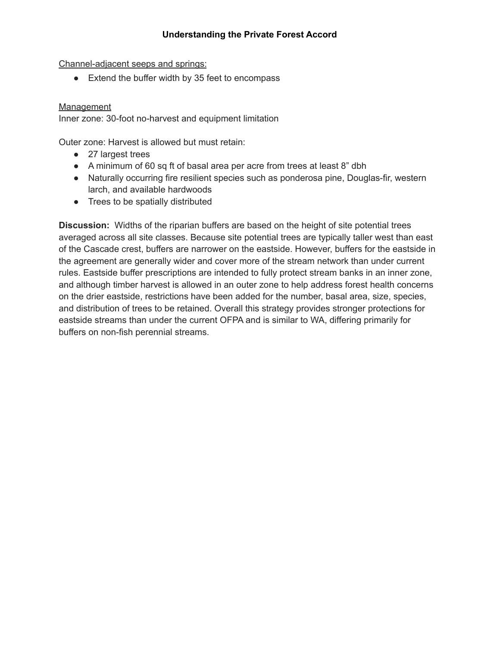### **Understanding the Private Forest Accord**

Channel-adjacent seeps and springs:

• Extend the buffer width by 35 feet to encompass

### **Management**

Inner zone: 30-foot no-harvest and equipment limitation

Outer zone: Harvest is allowed but must retain:

- 27 largest trees
- A minimum of 60 sq ft of basal area per acre from trees at least 8" dbh
- Naturally occurring fire resilient species such as ponderosa pine, Douglas-fir, western larch, and available hardwoods
- Trees to be spatially distributed

**Discussion:** Widths of the riparian buffers are based on the height of site potential trees averaged across all site classes. Because site potential trees are typically taller west than east of the Cascade crest, buffers are narrower on the eastside. However, buffers for the eastside in the agreement are generally wider and cover more of the stream network than under current rules. Eastside buffer prescriptions are intended to fully protect stream banks in an inner zone, and although timber harvest is allowed in an outer zone to help address forest health concerns on the drier eastside, restrictions have been added for the number, basal area, size, species, and distribution of trees to be retained. Overall this strategy provides stronger protections for eastside streams than under the current OFPA and is similar to WA, differing primarily for buffers on non-fish perennial streams.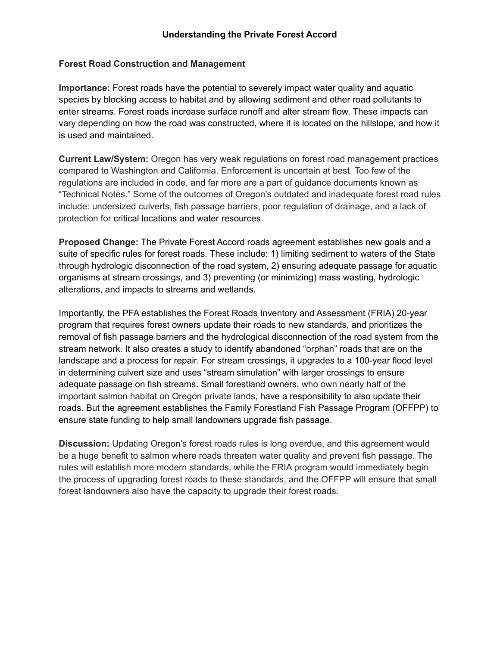### **Forest Road Construction and Management**

**Importance:** Forest roads have the potential to severely impact water quality and aquatic species by blocking access to habitat and by allowing sediment and other road pollutants to enter streams. Forest roads increase surface runoff and alter stream flow. These impacts can vary depending on how the road was constructed, where it is located on the hillslope, and how it is used and maintained.

**Current Law/System:** Oregon has very weak regulations on forest road management practices compared to Washington and California. Enforcement is uncertain at best. Too few of the regulations are included in code, and far more are a part of guidance documents known as "Technical Notes." Some of the outcomes of Oregon's outdated and inadequate forest road rules include: undersized culverts, fish passage barriers, poor regulation of drainage, and a lack of protection for critical locations and water resources.

**Proposed Change:** The Private Forest Accord roads agreement establishes new goals and a suite of specific rules for forest roads. These include: 1) limiting sediment to waters of the State through hydrologic disconnection of the road system, 2) ensuring adequate passage for aquatic organisms at stream crossings, and 3) preventing (or minimizing) mass wasting, hydrologic alterations, and impacts to streams and wetlands.

Importantly, the PFA establishes the Forest Roads Inventory and Assessment (FRIA) 20-year program that requires forest owners update their roads to new standards, and prioritizes the removal of fish passage barriers and the hydrological disconnection of the road system from the stream network. It also creates a study to identify abandoned "orphan" roads that are on the landscape and a process for repair. For stream crossings, it upgrades to a 100-year flood level in determining culvert size and uses "stream simulation" with larger crossings to ensure adequate passage on fish streams. Small forestland owners, who own nearly half of the important salmon habitat on Oregon private lands, have a responsibility to also update their roads. But the agreement establishes the Family Forestland Fish Passage Program (OFFPP) to ensure state funding to help small landowners upgrade fish passage.

**Discussion:** Updating Oregon's forest roads rules is long overdue, and this agreement would be a huge benefit to salmon where roads threaten water quality and prevent fish passage. The rules will establish more modern standards, while the FRIA program would immediately begin the process of upgrading forest roads to these standards, and the OFFPP will ensure that small forest landowners also have the capacity to upgrade their forest roads.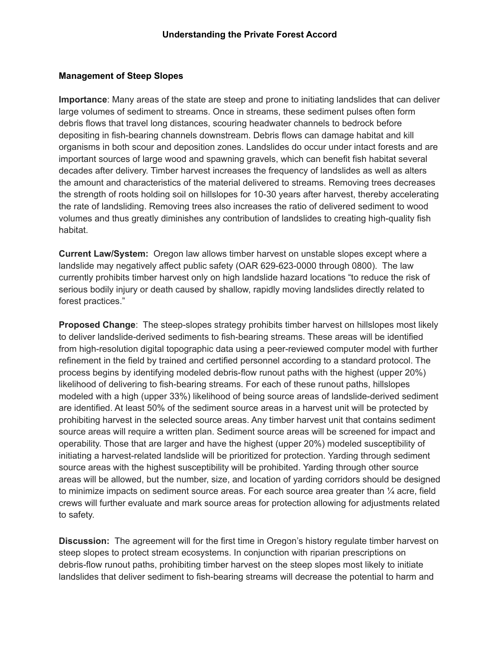## **Management of Steep Slopes**

**Importance**: Many areas of the state are steep and prone to initiating landslides that can deliver large volumes of sediment to streams. Once in streams, these sediment pulses often form debris flows that travel long distances, scouring headwater channels to bedrock before depositing in fish-bearing channels downstream. Debris flows can damage habitat and kill organisms in both scour and deposition zones. Landslides do occur under intact forests and are important sources of large wood and spawning gravels, which can benefit fish habitat several decades after delivery. Timber harvest increases the frequency of landslides as well as alters the amount and characteristics of the material delivered to streams. Removing trees decreases the strength of roots holding soil on hillslopes for 10-30 years after harvest, thereby accelerating the rate of landsliding. Removing trees also increases the ratio of delivered sediment to wood volumes and thus greatly diminishes any contribution of landslides to creating high-quality fish habitat.

**Current Law/System:** Oregon law allows timber harvest on unstable slopes except where a landslide may negatively affect public safety (OAR 629-623-0000 through 0800). The law currently prohibits timber harvest only on high landslide hazard locations "to reduce the risk of serious bodily injury or death caused by shallow, rapidly moving landslides directly related to forest practices."

**Proposed Change**: The steep-slopes strategy prohibits timber harvest on hillslopes most likely to deliver landslide-derived sediments to fish-bearing streams. These areas will be identified from high-resolution digital topographic data using a peer-reviewed computer model with further refinement in the field by trained and certified personnel according to a standard protocol. The process begins by identifying modeled debris-flow runout paths with the highest (upper 20%) likelihood of delivering to fish-bearing streams. For each of these runout paths, hillslopes modeled with a high (upper 33%) likelihood of being source areas of landslide-derived sediment are identified. At least 50% of the sediment source areas in a harvest unit will be protected by prohibiting harvest in the selected source areas. Any timber harvest unit that contains sediment source areas will require a written plan. Sediment source areas will be screened for impact and operability. Those that are larger and have the highest (upper 20%) modeled susceptibility of initiating a harvest-related landslide will be prioritized for protection. Yarding through sediment source areas with the highest susceptibility will be prohibited. Yarding through other source areas will be allowed, but the number, size, and location of yarding corridors should be designed to minimize impacts on sediment source areas. For each source area greater than  $\frac{1}{4}$  acre, field crews will further evaluate and mark source areas for protection allowing for adjustments related to safety.

**Discussion:** The agreement will for the first time in Oregon's history regulate timber harvest on steep slopes to protect stream ecosystems. In conjunction with riparian prescriptions on debris-flow runout paths, prohibiting timber harvest on the steep slopes most likely to initiate landslides that deliver sediment to fish-bearing streams will decrease the potential to harm and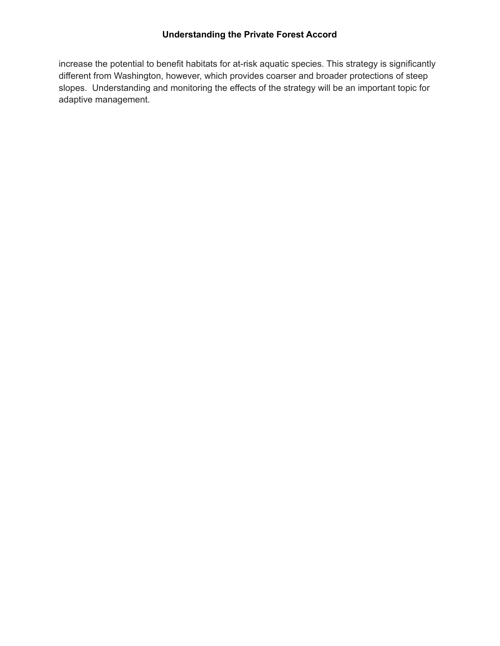## **Understanding the Private Forest Accord**

increase the potential to benefit habitats for at-risk aquatic species. This strategy is significantly different from Washington, however, which provides coarser and broader protections of steep slopes. Understanding and monitoring the effects of the strategy will be an important topic for adaptive management.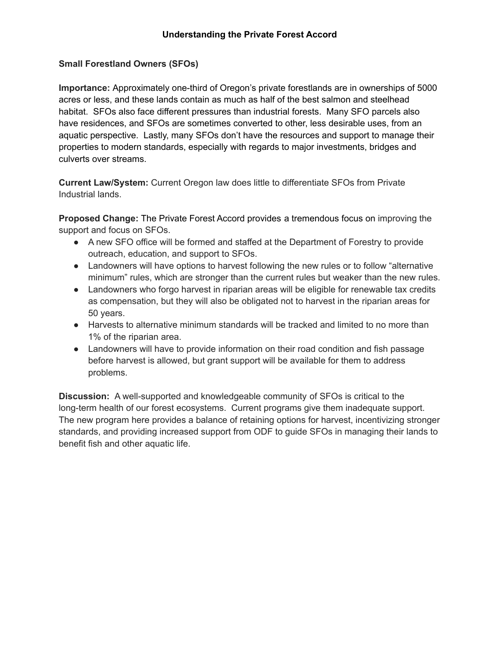## **Small Forestland Owners (SFOs)**

**Importance:** Approximately one-third of Oregon's private forestlands are in ownerships of 5000 acres or less, and these lands contain as much as half of the best salmon and steelhead habitat. SFOs also face different pressures than industrial forests. Many SFO parcels also have residences, and SFOs are sometimes converted to other, less desirable uses, from an aquatic perspective. Lastly, many SFOs don't have the resources and support to manage their properties to modern standards, especially with regards to major investments, bridges and culverts over streams.

**Current Law/System:** Current Oregon law does little to differentiate SFOs from Private Industrial lands.

**Proposed Change:** The Private Forest Accord provides a tremendous focus on improving the support and focus on SFOs.

- A new SFO office will be formed and staffed at the Department of Forestry to provide outreach, education, and support to SFOs.
- Landowners will have options to harvest following the new rules or to follow "alternative minimum" rules, which are stronger than the current rules but weaker than the new rules.
- Landowners who forgo harvest in riparian areas will be eligible for renewable tax credits as compensation, but they will also be obligated not to harvest in the riparian areas for 50 years.
- Harvests to alternative minimum standards will be tracked and limited to no more than 1% of the riparian area.
- Landowners will have to provide information on their road condition and fish passage before harvest is allowed, but grant support will be available for them to address problems.

**Discussion:** A well-supported and knowledgeable community of SFOs is critical to the long-term health of our forest ecosystems. Current programs give them inadequate support. The new program here provides a balance of retaining options for harvest, incentivizing stronger standards, and providing increased support from ODF to guide SFOs in managing their lands to benefit fish and other aquatic life.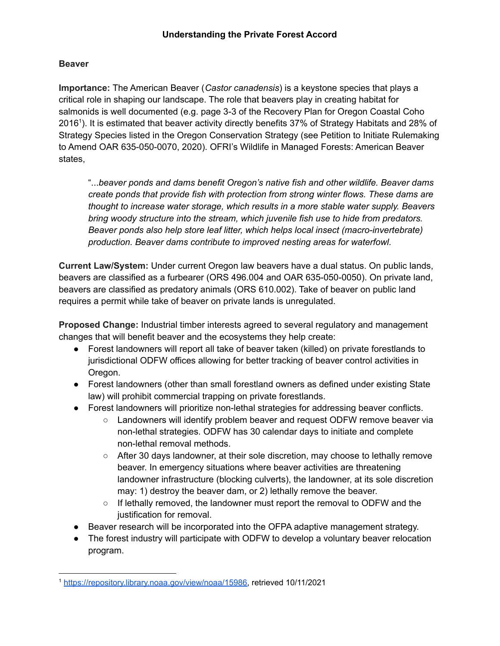## **Beaver**

**Importance:** The American Beaver (*Castor canadensis*) is a keystone species that plays a critical role in shaping our landscape. The role that beavers play in creating habitat for salmonids is well documented (e.g. page 3-3 of the Recovery Plan for Oregon Coastal Coho 2016 1 ). It is estimated that beaver activity directly benefits 37% of Strategy Habitats and 28% of Strategy Species listed in the Oregon Conservation Strategy (see Petition to Initiate Rulemaking to Amend OAR 635-050-0070, 2020). OFRI's Wildlife in Managed Forests: American Beaver states,

"...*beaver ponds and dams benefit Oregon's native fish and other wildlife. Beaver dams create ponds that provide fish with protection from strong winter flows. These dams are thought to increase water storage, which results in a more stable water supply. Beavers bring woody structure into the stream, which juvenile fish use to hide from predators. Beaver ponds also help store leaf litter, which helps local insect (macro-invertebrate) production. Beaver dams contribute to improved nesting areas for waterfowl.*

**Current Law/System:** Under current Oregon law beavers have a dual status. On public lands, beavers are classified as a furbearer (ORS 496.004 and OAR 635-050-0050). On private land, beavers are classified as predatory animals (ORS 610.002). Take of beaver on public land requires a permit while take of beaver on private lands is unregulated.

**Proposed Change:** Industrial timber interests agreed to several regulatory and management changes that will benefit beaver and the ecosystems they help create:

- Forest landowners will report all take of beaver taken (killed) on private forestlands to jurisdictional ODFW offices allowing for better tracking of beaver control activities in Oregon.
- Forest landowners (other than small forestland owners as defined under existing State law) will prohibit commercial trapping on private forestlands.
- Forest landowners will prioritize non-lethal strategies for addressing beaver conflicts.
	- Landowners will identify problem beaver and request ODFW remove beaver via non-lethal strategies. ODFW has 30 calendar days to initiate and complete non-lethal removal methods.
	- After 30 days landowner, at their sole discretion, may choose to lethally remove beaver. In emergency situations where beaver activities are threatening landowner infrastructure (blocking culverts), the landowner, at its sole discretion may: 1) destroy the beaver dam, or 2) lethally remove the beaver.
	- $\circ$  If lethally removed, the landowner must report the removal to ODFW and the justification for removal.
- Beaver research will be incorporated into the OFPA adaptive management strategy.
- The forest industry will participate with ODFW to develop a voluntary beaver relocation program.

<sup>1</sup> [https://repository.library.noaa.gov/view/noaa/15986,](https://repository.library.noaa.gov/view/noaa/15986) retrieved 10/11/2021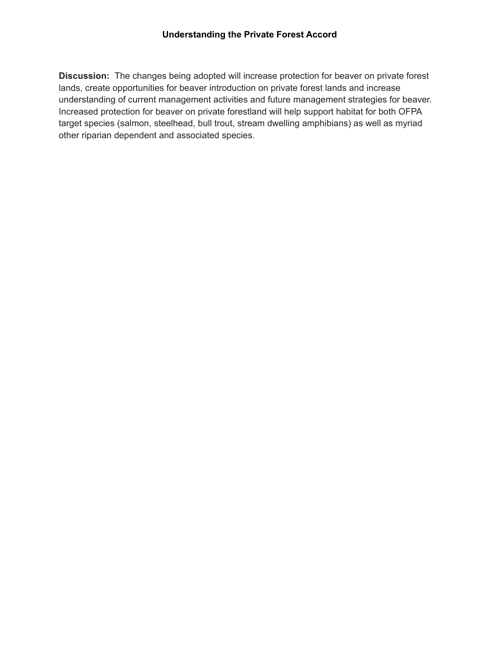**Discussion:** The changes being adopted will increase protection for beaver on private forest lands, create opportunities for beaver introduction on private forest lands and increase understanding of current management activities and future management strategies for beaver. Increased protection for beaver on private forestland will help support habitat for both OFPA target species (salmon, steelhead, bull trout, stream dwelling amphibians) as well as myriad other riparian dependent and associated species.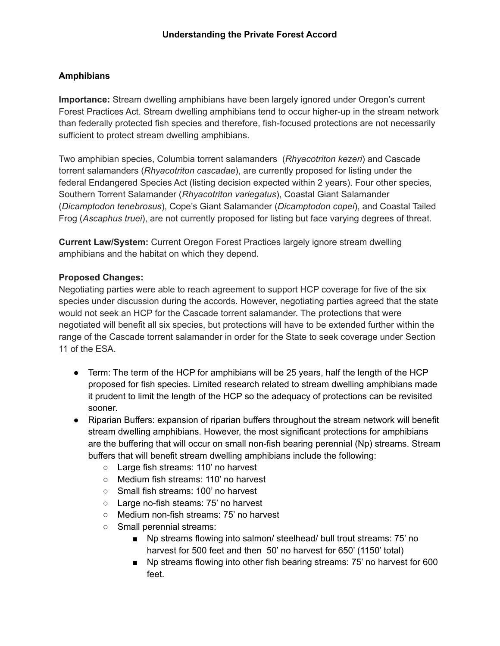# **Amphibians**

**Importance:** Stream dwelling amphibians have been largely ignored under Oregon's current Forest Practices Act. Stream dwelling amphibians tend to occur higher-up in the stream network than federally protected fish species and therefore, fish-focused protections are not necessarily sufficient to protect stream dwelling amphibians.

Two amphibian species, Columbia torrent salamanders (*Rhyacotriton kezeri*) and Cascade torrent salamanders (*Rhyacotriton cascadae*), are currently proposed for listing under the federal Endangered Species Act (listing decision expected within 2 years). Four other species, Southern Torrent Salamander (*Rhyacotriton variegatus*), Coastal Giant Salamander (*Dicamptodon tenebrosus*), Cope's Giant Salamander (*Dicamptodon copei*), and Coastal Tailed Frog (*Ascaphus truei*), are not currently proposed for listing but face varying degrees of threat.

**Current Law/System:** Current Oregon Forest Practices largely ignore stream dwelling amphibians and the habitat on which they depend.

## **Proposed Changes:**

Negotiating parties were able to reach agreement to support HCP coverage for five of the six species under discussion during the accords. However, negotiating parties agreed that the state would not seek an HCP for the Cascade torrent salamander. The protections that were negotiated will benefit all six species, but protections will have to be extended further within the range of the Cascade torrent salamander in order for the State to seek coverage under Section 11 of the ESA.

- Term: The term of the HCP for amphibians will be 25 years, half the length of the HCP proposed for fish species. Limited research related to stream dwelling amphibians made it prudent to limit the length of the HCP so the adequacy of protections can be revisited sooner.
- Riparian Buffers: expansion of riparian buffers throughout the stream network will benefit stream dwelling amphibians. However, the most significant protections for amphibians are the buffering that will occur on small non-fish bearing perennial (Np) streams. Stream buffers that will benefit stream dwelling amphibians include the following:
	- Large fish streams: 110' no harvest
	- Medium fish streams: 110' no harvest
	- Small fish streams: 100' no harvest
	- Large no-fish steams: 75' no harvest
	- Medium non-fish streams: 75' no harvest
	- Small perennial streams:
		- Np streams flowing into salmon/ steelhead/ bull trout streams: 75' no harvest for 500 feet and then 50' no harvest for 650' (1150' total)
		- Np streams flowing into other fish bearing streams: 75' no harvest for 600 feet.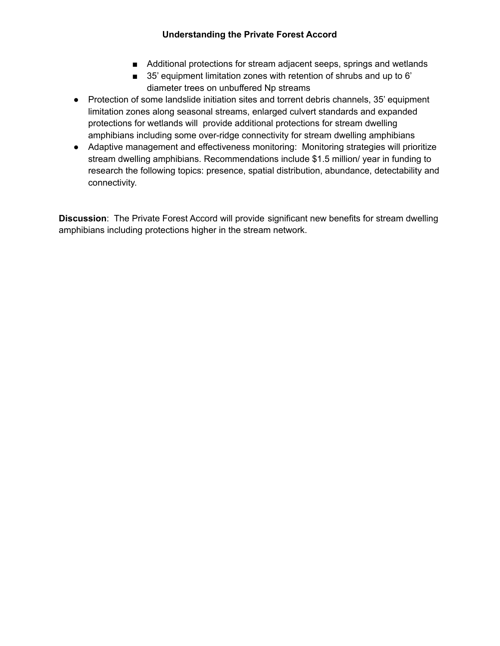## **Understanding the Private Forest Accord**

- Additional protections for stream adjacent seeps, springs and wetlands
- 35' equipment limitation zones with retention of shrubs and up to 6' diameter trees on unbuffered Np streams
- Protection of some landslide initiation sites and torrent debris channels, 35' equipment limitation zones along seasonal streams, enlarged culvert standards and expanded protections for wetlands will provide additional protections for stream dwelling amphibians including some over-ridge connectivity for stream dwelling amphibians
- Adaptive management and effectiveness monitoring: Monitoring strategies will prioritize stream dwelling amphibians. Recommendations include \$1.5 million/ year in funding to research the following topics: presence, spatial distribution, abundance, detectability and connectivity.

**Discussion**: The Private Forest Accord will provide significant new benefits for stream dwelling amphibians including protections higher in the stream network.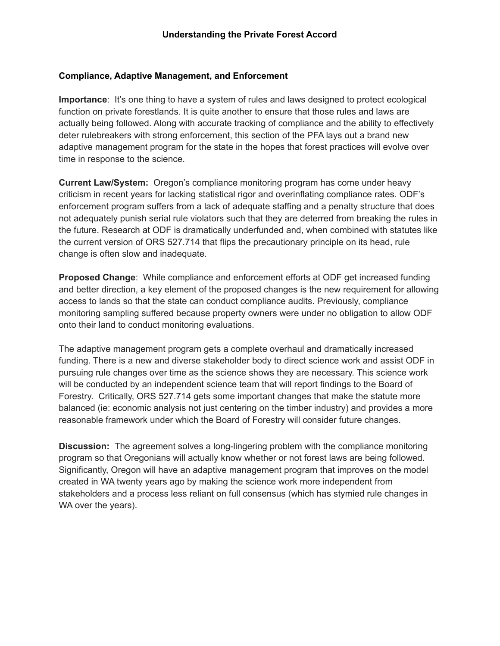### **Compliance, Adaptive Management, and Enforcement**

**Importance**: It's one thing to have a system of rules and laws designed to protect ecological function on private forestlands. It is quite another to ensure that those rules and laws are actually being followed. Along with accurate tracking of compliance and the ability to effectively deter rulebreakers with strong enforcement, this section of the PFA lays out a brand new adaptive management program for the state in the hopes that forest practices will evolve over time in response to the science.

**Current Law/System:** Oregon's compliance monitoring program has come under heavy criticism in recent years for lacking statistical rigor and overinflating compliance rates. ODF's enforcement program suffers from a lack of adequate staffing and a penalty structure that does not adequately punish serial rule violators such that they are deterred from breaking the rules in the future. Research at ODF is dramatically underfunded and, when combined with statutes like the current version of ORS 527.714 that flips the precautionary principle on its head, rule change is often slow and inadequate.

**Proposed Change**: While compliance and enforcement efforts at ODF get increased funding and better direction, a key element of the proposed changes is the new requirement for allowing access to lands so that the state can conduct compliance audits. Previously, compliance monitoring sampling suffered because property owners were under no obligation to allow ODF onto their land to conduct monitoring evaluations.

The adaptive management program gets a complete overhaul and dramatically increased funding. There is a new and diverse stakeholder body to direct science work and assist ODF in pursuing rule changes over time as the science shows they are necessary. This science work will be conducted by an independent science team that will report findings to the Board of Forestry. Critically, ORS 527.714 gets some important changes that make the statute more balanced (ie: economic analysis not just centering on the timber industry) and provides a more reasonable framework under which the Board of Forestry will consider future changes.

**Discussion:** The agreement solves a long-lingering problem with the compliance monitoring program so that Oregonians will actually know whether or not forest laws are being followed. Significantly, Oregon will have an adaptive management program that improves on the model created in WA twenty years ago by making the science work more independent from stakeholders and a process less reliant on full consensus (which has stymied rule changes in WA over the years).